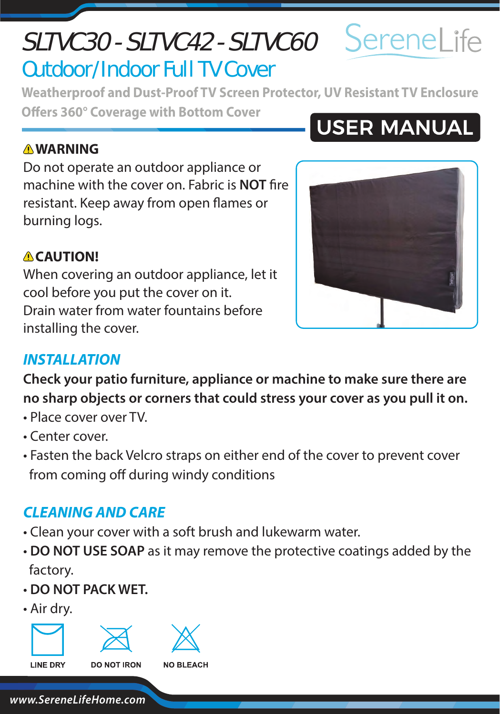# **CAUTION!**

When covering an outdoor appliance, let it cool before you put the cover on it. Drain water from water fountains before installing the cover.

### *INSTALLATION*

**Check your patio furniture, appliance or machine to make sure there are no sharp objects or corners that could stress your cover as you pull it on.**

- Place cover over TV.
- Center cover.
- Fasten the back Velcro straps on either end of the cover to prevent cover from coming off during windy conditions

### *CLEANING AND CARE*

- Clean your cover with a soft brush and lukewarm water.
- **DO NOT USE SOAP** as it may remove the protective coatings added by the factory.
- **DO NOT PACK WET.**
- Air dry.

**LINE DRY** 



**DO NOT IRON** 

## SLTVC30 - SLTVC42 - SLTVC60 Outdoor/Indoor Full TV Cover

**Weatherproof and Dust-Proof TV Screen Protector, UV Resistant TV Enclosure Offers 360° Coverage with Bottom Cover** 

### **WARNING**

Do not operate an outdoor appliance or machine with the cover on. Fabric is **NOT** fire resistant. Keep away from open flames or burning logs.



# **USER MANUAL**





**NO BLEACH** 

SereneLife